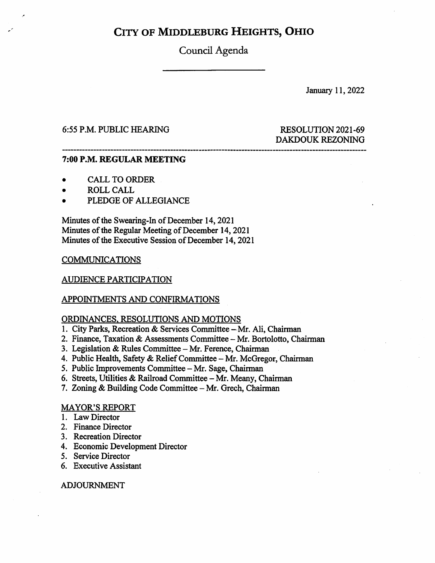Council Agenda

January 11, 2022

### 6:55 P.M. PUBLIC HEARING RESOLUTION 2021-69

# DAKDOUK REZONING

### 7:00 P.M. REGULAR MEETING

- CALL TO ORDER
- ROLL CALL
- PLEDGE OF ALLEGIANCE

Minutes of the Swearing-In of December 14,2021 Minutes of the Regular Meeting of December 14,2021 Minutes of the Executive Session of December 14,2021

### **COMMUNICATIONS**

### AUDIENCE PARTICIPATION

### APPOINTMENTS AND CONFIRMATIONS

### ORDINANCES. RESOLUTIONS AND MOTIONS

- 1. City Parks, Recreation & Services Committee Mr. Ali, Chairman
- 2. Finance, Taxation & Assessments Committee Mr. Bortolotto, Chairman
- 3. Legislation & Rules Committee Mr. Ference, Chairman
- 4. Public Health, Safety & Relief Committee Mr. McGregor, Chairman
- 5. Public Improvements Committee Mr. Sage, Chairman
- 6. Streets, Utilities & Railroad Committee Mr. Meany, Chairman
- 7. Zoning & Building Code Committee Mr. Grech, Chairman

### MAYOR'S REPORT

- 1. Law Director
- 2. Finance Director
- 3. Recreation Director
- 4. Economic Development Director
- 5. Service Director
- 6. Executive Assistant

### ADJOURNMENT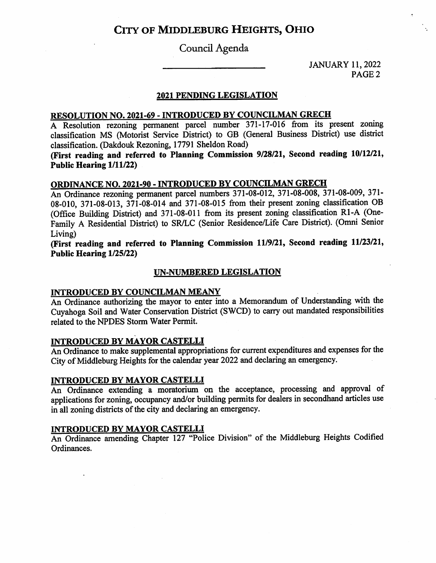### Council Agenda

JANUARY 11,2022 PAGE 2

### 2021 PENDING LEGISLATION

### RESOLUTION NO. 2021-69 - INTRODUCED BY COUNCILMAN GRECH

A Resolution rezoning permanent parcel number 371-17-016 from its present zoning classification MS (Motorist Service District) to GB (General Business District) use district classification. (Dakdouk Rezoning, 17791 Sheldon Road)

(First reading and referred to Planning Commission 9/28/21, Second reading 10/12/21, Public Hearing 1/11/22)

### ORDINANCE NO. 2021-90 - INTRODUCED BY COUNCILMAN GRECH

An Ordinance rezoning permanent parcel numbers 371-08-012, 371-08-008, 371-08-009, 371- 08-010, 371-08-013, 371-08-014 and 371-08-015 from their present zoning classification OB (Office Building District) and 371-08-011 from its present zoning classification Rl-A (One-Family A Residential District) to SR/LC (Senior Residence/Life Care District). (Omni Senior Living)

(First reading and referred to Planning Commission 11/9/21, Second reading 11/23/21, Public Hearing 1/25/22)

### UN-NUMBERED LEGISLATION

### INTRODUCED BY COUNCILMAN MEANY

An Ordinance authorizing the mayor to enter into a Memorandum of Understanding with the Cuyahoga Soil and Water Conservation District (SWCD) to carry out mandated responsibilities related to the NPDES Storm Water Permit.

### INTRODUCED BY MAYOR CASTELLI

An Ordinance to make supplemental appropriations for current expenditures and expenses for the City of Middleburg Heights for the calendar year 2022 and declaring an emergency.

### INTRODUCED BY MAYOR CASTELLI

An Ordinance extending a moratorium on the acceptance, processing and approval of applications for zoning, occupancy and/or building permits for dealers in secondhand articles use in all zoning districts of the city and declaring an emergency.

### INTRODUCED BY MAYOR CASTELLI

An Ordinance amending Chapter 127 "Police Division" of the Middleburg Heights Codified Ordinances.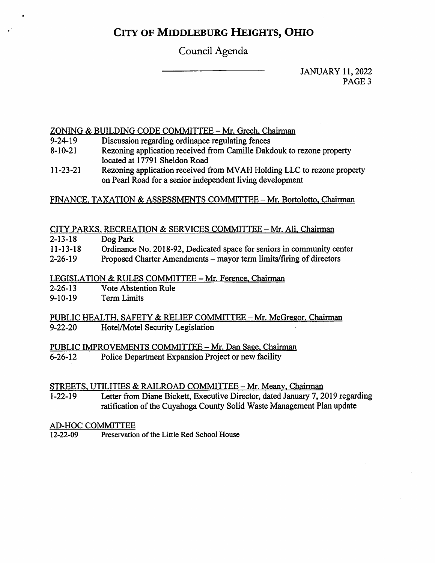# Council Agenda

JANUARY 11,2022 PAGE<sub>3</sub>

### ZONING & BUILDING CODE COMMITTEE - Mr. Grech, Chairman

- 9-24-19 Discussion regarding ordinance regulating fences
- 8-10-21 Rezoning application received from Camille Dakdouk to rezone property located at 17791 Sheldon Road
- 11-23-21 Rezoning application received from MV AH Holding EEC to rezone property on Pearl Road for a senior independent living development

### FINANCE, TAXATION & ASSESSMENTS COMMITTEE - Mr. Bortolotto, Chairman

### CITY PARKS, RECREATION & SERVICES COMMITTEE - Mr. Ali, Chairman

| $2 - 13 - 18$  | Dog Park                                                               |
|----------------|------------------------------------------------------------------------|
| $11 - 13 - 18$ | Ordinance No. 2018-92, Dedicated space for seniors in community center |
| ------         |                                                                        |

2-26-19 Proposed Charter Amendments - mayor term limits/firing of directors

### LEGISLATION & RULES COMMITTEE - Mr. Ference, Chairman

- Vote Abstention Rule 2-26-13
- Term Limits 9-10-19

PUBLIC HEALTH, SAFETY & RELIEF COMMITTEE - Mr. McGregor, Chairman<br>9-22-20 Hotel/Motel Security Legislation Hotel/Motel Security Legislation

# PUBLIC IMPROVEMENTS COMMITTEE - Mr. Dan Sage, Chairman<br>6-26-12 Police Department Expansion Project or new facility

Police Department Expansion Project or new facility

STREETS, UTILITIES & RAILROAD COMMITTEE - Mr. Meany, Chairman<br>1-22-19 Letter from Diane Bickett, Executive Director, dated January 7, 2 Letter from Diane Bickett, Executive Director, dated January 7, 2019 regarding ratification of the Cuyahoga County Solid Waste Management Plan update

# AD-HOC COMMITTEE<br>12-22-09 Preservatio

Preservation of the Little Red School House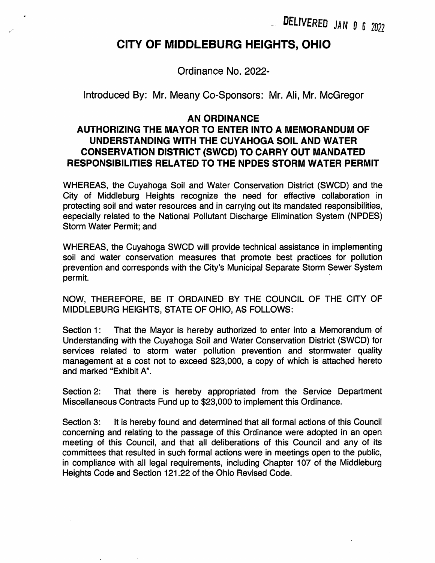. delivered mn 0 G 2022

# CITY OF MIDDLEBURG HEIGHTS, OHIO

Ordinance No. 2022-

Introduced By: Mr. Meany Co-Sponsors: Mr. Ali, Mr. McGregor

### AN ORDINANCE

# AUTHORIZING THE MAYOR TO ENTER INTO A MEMORANDUM OF UNDERSTANDING WITH THE CUYAHOGA SOIL AND WATER CONSERVATION DISTRICT (SWCD) TO CARRY OUT MANDATED RESPONSIBILITIES RELATED TO THE NPDES STORM WATER PERMIT

WHEREAS, the Cuyahoga Soil and Water Conservation District (SWCD) and the City of Middleburg Heights recognize the need for effective collaboration in protecting soil and water resources and in carrying out its mandated responsibilities, especially related to the National Pollutant Discharge Elimination System (NPDES) Storm Water Permit; and

WHEREAS, the Cuyahoga SWCD will provide technical assistance in implementing soil and water conservation measures that promote best practices for pollution prevention and corresponds with the City's Municipal Separate Storm Sewer System permit.

NOW, THEREFORE, BE IT ORDAINED BY THE COUNCIL OF THE CITY OF MIDDLEBURG HEIGHTS, STATE OF OHIO, AS FOLLOWS:

Section 1: Understanding with the Cuyahoga Soil and Water Conservation District (SWCD) for services related to storm water pollution prevention and stormwater quality management at a cost not to exceed \$23,000, a copy of which is attached hereto and marked "Exhibit A". That the Mayor is hereby authorized to enter into a Memorandum of

Section 2: Miscellaneous Contracts Fund up to \$23,000 to implement this Ordinance. That there is hereby appropriated from the Service Department

Section 3: It is hereby found and determined that all formal actions of this Council concerning and relating to the passage of this Ordinance were adopted in an open meeting of this Council, and that all deliberations of this Council and any of its committees that resulted in such formal actions were in meetings open to the public, in compliance with all legal requirements, including Chapter 107 of the Middleburg Heights Code and Section 121.22 of the Ohio Revised Code.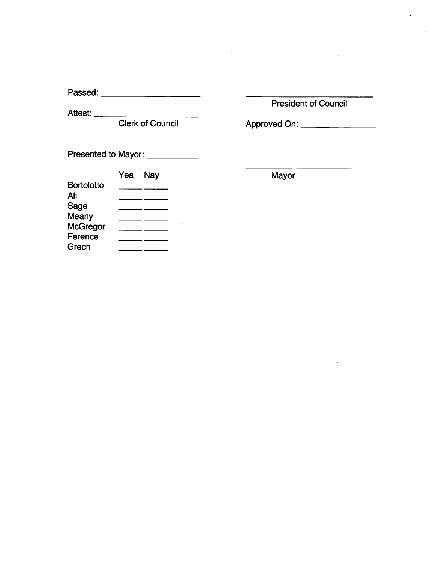Passed:

Attest:

Presented to Mayor: \_\_\_\_\_\_\_\_\_\_\_\_

|                   | Yea | <b>Nay</b> |
|-------------------|-----|------------|
| <b>Bortolotto</b> |     |            |
| Ali               |     |            |
| Sage              |     |            |
| Meany             |     |            |
| <b>McGregor</b>   |     |            |
| Ference           |     |            |
| Grech             |     |            |

President of Council

Clerk of Council Approved On:

Mayor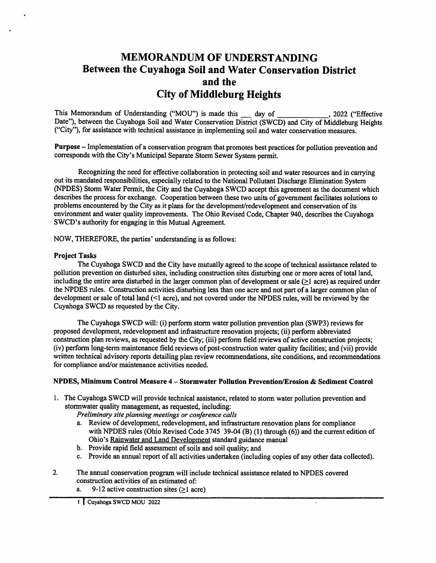# MEMORANDUM OF UNDERSTANDING Between the Cuyahoga Soil and Water Conservation District and the City of Middleburg Heights

This Memorandum of Understanding ("MOU") is made this day of Date"), between the Cuyahoga Soil and Water Conservation District (SWCD) and City of Middleburg Heights ("City"), for assistance with technical assistance in implementing soil and water conservation measures. day of  $\frac{2022}{200}$ ,  $\frac{2022}{200}$  ("Effective")

Purpose — Implementation of a conservation program that promotes best practices for pollution prevention and corresponds with the City's Municipal Separate Storm Sewer System permit.

Recognizing the need for effective collaboration in protecting soil and water resources and in carrying out its mandated responsibilities, especially related to the National Pollutant Discharge Elimination System (NPDES) Storm Water Permit, the City and the Cuyahoga SWCD aecept this agreement as the document which describes the process for exchange. Cooperation between these two units of government facilitates solutions to problems encountered by the City as it plans for the development/redevelopment and eonservation of its environment and water quality improvements. The Ohio Revised Code, Chapter 940, describes the Cuyahoga SWCD's authority for engaging in this Mutual Agreement.

NOW, THEREFORE, the parties' understanding is as follows:

### Project Tasks

The Cuyahoga SWCD and the City have mutually agreed to the scope of technical assistance related to pollution prevention on disturbed sites, including construction sites disturbing one or more acres of total land, including the entire area disturbed in the larger common plan of development or sale (>1 acre) as required under the NPDES rules. Construction activities disturbing less than one acre and not part of a larger common plan of development or sale of total land (<1 acre), and not covered under the NPDES rules, will be reviewed by the Cuyahoga SWCD as requested by the City.

The Cuyahoga SWCD will: (i) perform storm water pollution prevention plan (SWP3) reviews for proposed development, redevelopment and infrastructure renovation projects; (ii) perform abbreviated construetion plan reviews, as requested by the City; (iii) perform field reviews of active construction projects; (iv) perform long-term maintenance field reviews of post-constmction water quality facilities; and (vii) provide written technical advisory reports detailing plan review recommendations, site conditions, and recommendations for compliance and/or maintenance activities needed.

### NPDES, Minimum Control Measure 4 - Stormwater Pollution Prevention/Erosion & Sediment Control

1. The Cuyahoga SWCD will provide technical assistance, related to storm water pollution prevention and stormwater quality management, as requested, including:

Preliminary site planning meetings or conference calls

- a. Review of development, redevelopment, and infrastructure renovation plans for compliance with NPDES rules (Ohio Revised Code 3745 39-04 (B) (1) through (6)) and the current edition of Ohio's Rainwater and Land Development standard guidance manual
- b. Provide rapid field assessment of soils and soil quality; and
- c. Provide an annual report of all activities undertaken (including copies of any other data collected).

 $\ddot{\phantom{a}}$ 

- 2. The annual conservation program will include technical assistance related to NPDES covered construction activities of an estimated of:
	- a. 9-12 active construction sites  $(≥1$  acre)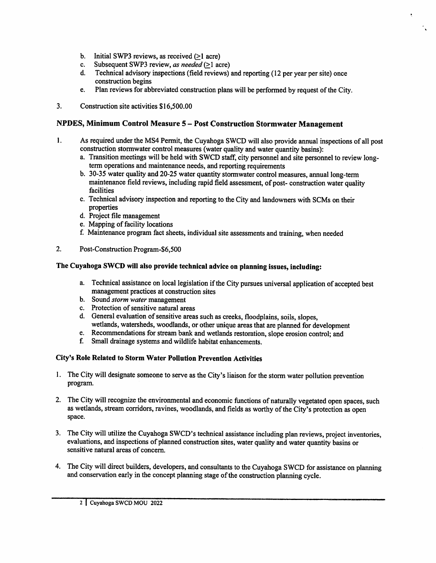- b. Initial SWP3 reviews, as received (>1 acre)
- Subsequent SWP3 review, as needed (>1 acre) c.
- Technical advisory inspections (field reviews) and reporting (12 per year per site) once construction begins d.
- Plan reviews for abbreviated construction plans will be performed by request of the City. e.
- 3. Construction site activities \$16,500.00

### NPDES, Minimum Control Measure 5 - Post Construction Stormwater Management

- As required under the MS4 Permit, the Cuyahoga SWCD will also provide annual inspections of all post construction stormwater control measures (water quality and water quantity basins): 1.
	- a. Transition meetings will be held with SWCD staff, city personnel and site personnel to review longterm operations and maintenance needs, and reporting requirements
	- 30-35 water quality and 20-25 water quantity stormwater control measures, annual long-term b. maintenance field reviews, including rapid field assessment, of post- construction water quality facilities
	- c. Technical advisory inspection and reporting to the City and landowners with SCMs on their properties
	- d. Project file management
	- e. Mapping of facility locations
	- f. Maintenance program fact sheets, individual site assessments and training, when needed
- 2. Post-Construction Program-\$6,500

### The Cuyahoga SWCD will also provide technical advice on planning issues, including:

- a. I echnical assistance on local legislation if the City pursues universal application of accepted best management practices at construction sites
- b. Sound *storm water* management
- c. Protection of sensitive natural areas
- d. General evaluation of sensitive areas such as creeks, floodplains, soils, slopes, wetlands, watersheds, woodlands, or other unique areas that are planned for development
- e. Recommendations for stream bank and wetlands restoration, slope erosion control; and
- Small drainage systems and wildlife habitat enhancements. f

### City's Role Related to Storm Water Pollution Prevention Activities

- 1. The City will designate someone to serve as the City's liaison for the storm water pollution prevention program.
- 2. The City will recognize the environmental and economic functions of naturally vegetated open spaces, such as wetlands, stream corridors, ravines, woodlands, and fields as worthy of the City's protection as open space.
- 3. The City will utilize the Cuyahoga SWCD's technical assistance including plan reviews, project inventories, evaluations, and inspections of planned construction sites, water quality and water quantity basins or sensitive natural areas of concern.
- 4. The City will direct builders, developers, and consultants to the Cuyahoga SWCD for assistance on planning and conservation early in the concept planning stage of the construction planning cycle.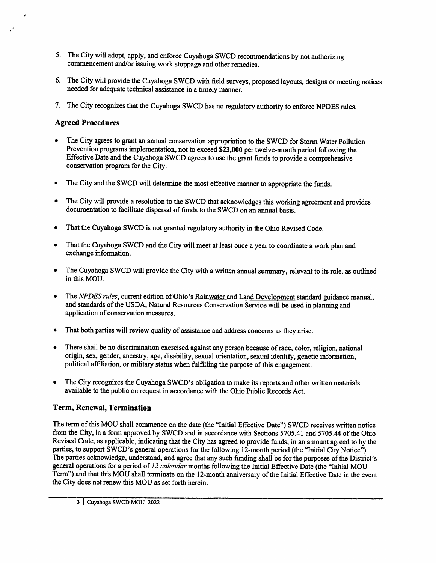- 5. I he City will adopt, apply, and enforce Cuyahoga SWCD recommendations by not authorizing commencement and/or issuing work stoppage and other remedies.
- 6. The City will provide the Cuyahoga SWCD with field surveys, proposed layouts, designs or meeting notices needed for adequate technical assistance in a timely manner.
- 7. In eCity recognizes that the Cuyahoga SWCD has no regulatory authority to enforce NPDES rules.

### Agreed Procedures

- $\bullet$ The City agrees to grant an annual conservation appropriation to the SWCD for Storm Water Pollution Prevention programs implementation, not to exceed \$23,000 per twelve-month period following the Effective Date and the Cuyahoga SWCD agrees to use the grant funds to provide a comprehensive conservation program for the City.
- The City and the SWCD will determine the most effective manner to appropriate the funds.
- The City will provide a resolution to the SWCD that acknowledges this working agreement and provides documentation to facilitate dispersal of funds to the SWCD on an annual basis.
- That the Cuyahoga SWCD is not granted regulatory authority in the Ohio Revised Code.  $\bullet$
- $\bullet$ That the Cuyahoga SWCD and the City will meet at least once a year to coordinate a work plan and exchange information.
- The Cuyahoga SWCD will provide the City with a written annual summary, relevant to its role, as outlined  $\bullet$ in this MOD.
- The NPDES rules, current edition of Ohio's Rainwater and Land Development standard guidance manual,  $\bullet$ and standards of the USDA, Natural Resources Conservation Service will be used in planning and application of conservation measures.
- That both parties will review quality of assistance and address concerns as they arise.
- There shall be no discrimination exercised against any person because of race, color, religion, national origin, sex, gender, ancestry, age, disability, sexual orientation, sexual identify, genetic information, political affiliation, or military status when fulfilling the purpose of this engagement.
- The City recognizes the Cuyahoga SWCD's obligation to make its reports and other written materials available to the public on request in accordance with the Ohio Public Records Act.

### Term, Renewal, Termination

The term of this MOU shall commence on the date (the "Initial Effective Date") SWCD receives written notice from the City, in a form approved by SWCD and in accordance with Sections 5705.41 and 5705.44 of the Ohio Revised Code, as applicable, indicating that the City has agreed to provide funds, in an amount agreed to by the parties, to support SWCD's general operations for the following 12-month period (the "Initial City Notice"). The parties acknowledge, understand, and agree that any such funding shall be for the purposes of the District's general operations for a period of 12 calendar months following the Initial Effective Date (the "Initial MOU Term") and that this MOU shall terminate on the 12-month anniversary of the Initial Effective Date in the event the City does not renew this MOU as set forth herein.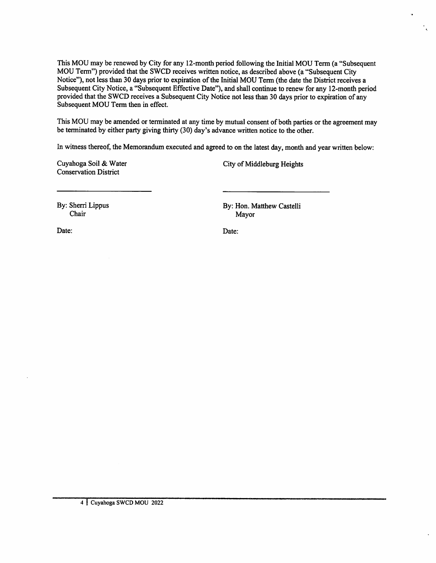This MOU may be renewed by City for any 12-month period following the Initial MOU Term (a "Subsequent MOU Temi") provided that the SWCD receives written notiee, as described above (a "Subsequent City Notice"), not less than 30 days prior to expiration of the Initial MOU Term (the date the District receives a Subsequent City Notice, a "Subsequent Effective Date"), and shall continue to renew for any 12-month period provided that the SWCD receives a Subsequent City Notice not less than 30 days prior to expiration of any Subsequent MOU Term then in effect.

This MOU may be amended or terminated at any time by mutual consent of both parties or the agreement may be terminated by either party giving thirty (30) day's advance written notice to the other.

In witness thereof, the Memorandum executed and agreed to on the latest day, month and year written below:

Cuyahoga Soil & Water Conservation District

City of Middleburg Heights

By: Sherri Lippus Chair

By: Hon. Matthew Castelli Mayor

Date: Date: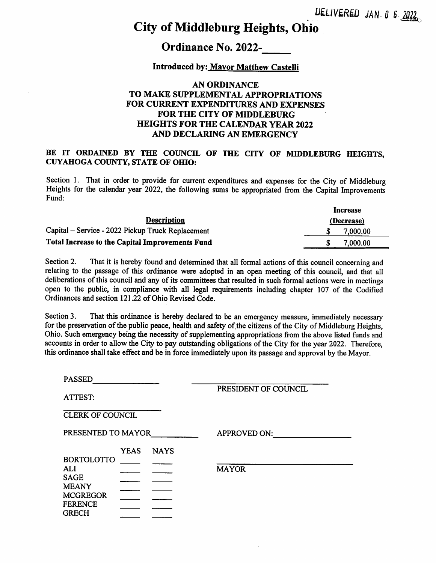# Ordinance No. 2022-

### Introduced by; Mayor Matthew Castelli

### AN ORDINANCE TO MAKE SUPPLEMENTAL APPROPRIATIONS FOR CURRENT EXPENDITURES AND EXPENSES FOR THE CITY OF MIDDLEBURG HEIGHTS FOR THE CALENDAR YEAR 2022 AND DECLARING AN EMERGENCY

### BE IT ORDAINED BY THE COUNCIL OF THE CITY OF MIDDLEBURG HEIGHTS, CUYAHOGA COUNTY, STATE OF OHIO:

Section 1. That in order to provide for current expenditures and expenses for the City of Middleburg Heights for the calendar year 2022, the following sums be appropriated from the Capital Improvements Fund:

|                                                   | Increase   |
|---------------------------------------------------|------------|
| <b>Description</b>                                | (Decrease) |
| Capital – Service - 2022 Pickup Truck Replacement | 7,000.00   |
| Total Increase to the Capital Improvements Fund   | 7,000.00   |

Section 2. relating to the passage of this ordinance were adopted in an open meeting of this council, and that all deliberations of this council and any of its committees that resulted in such formal actions were in meetings open to the public, in compliance with all legal requirements including chapter 107 of the Codified Ordinances and section 121.22 of Ohio Revised Code. That it is hereby found and determined that all formal actions of this council concerning and

Section 3. for the preservation of the public peace, health and safety of the citizens of the City of Middleburg Heights, Ohio. Such emergency being the necessity of supplementing appropriations from the above listed funds and accounts in order to allow the City to pay outstanding obligations of the City for the year 2022. Therefore, this ordinance shall take effect and be in force immediately upon its passage and approval by the Mayor. That this ordinance is hereby declared to be an emergency measure, immediately necessary

| <b>PASSED</b>                   |             |             |                      |
|---------------------------------|-------------|-------------|----------------------|
| ATTEST:                         |             |             | PRESIDENT OF COUNCIL |
| <b>CLERK OF COUNCIL</b>         |             |             |                      |
| PRESENTED TO MAYOR              |             |             | <b>APPROVED ON:</b>  |
| <b>BORTOLOTTO</b>               | <b>YEAS</b> | <b>NAYS</b> |                      |
| <b>ALI</b><br><b>SAGE</b>       |             |             | <b>MAYOR</b>         |
| <b>MEANY</b><br><b>MCGREGOR</b> |             |             |                      |
| <b>FERENCE</b><br><b>GRECH</b>  |             |             |                      |
|                                 |             |             |                      |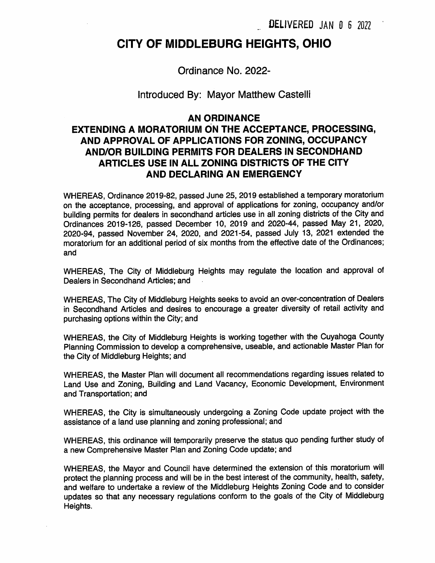# CITY OF MIDDLEBURG HEIGHTS, OHIO

Ordinance No. 2022-

### Introduced By: Mayor Matthew Castelli

### AN ORDINANCE

# EXTENDING A MORATORIUM ON THE ACCEPTANCE, PROCESSING, AND APPROVAL OF APPLICATIONS FOR ZONING, OCCUPANCY AND/OR BUILDING PERMITS FOR DEALERS IN SECONDHAND ARTICLES USE IN ALL ZONING DISTRICTS OF THE CITY AND DECLARING AN EMERGENCY

WHEREAS, Ordinance 2019-82, passed June 25, 2019 established a temporary moratorium on the acceptance, processing, and approval of applications for zoning, occupancy and/or building permits for dealers in secondhand articles use in all zoning districts of the City and Ordinances 2019-126, passed December 10, 2019 and 2020-44, passed May 21, 2020, 2020-94, passed November 24, 2020, and 2021-54, passed July 13, 2021 extended the moratorium for an additional period of six months from the effective date of the Ordinances; and

WHEREAS, The City of Middleburg Heights may regulate the location and approval of Dealers in Secondhand Articles; and

WHEREAS, The City of Middleburg Heights seeks to avoid an over-concentration of Dealers in Secondhand Articles and desires to encourage a greater diversity of retail activity and purchasing options within the City; and

WHEREAS, the City of Middleburg Heights is working together with the Cuyahoga County Planning Commission to develop a comprehensive, useable, and actionable Master Plan for the City of Middleburg Heights; and

WHEREAS, the Master Plan will document all recommendations regarding issues related to Land Use and Zoning, Building and Land Vacancy, Economic Development, Environment and Transportation; and

WHEREAS, the City is simultaneously undergoing a Zoning Code update project with the assistance of a land use planning and zoning professional; and

WHEREAS, this ordinance will temporarily preserve the status quo pending further study of a new Comprehensive Master Plan and Zoning Code update; and

WHEREAS, the Mayor and Council have determined the extension of this moratorium will protect the planning process and will be in the best interest of the community, health, safety, and welfare to undertake a review of the Middleburg Heights Zoning Code and to consider updates so that any necessary regulations conform to the goals of the City of Middleburg Heights.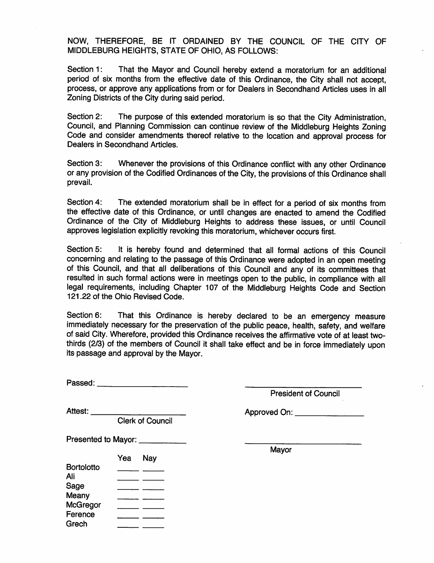NOW, THEREFORE, BE IT ORDAINED BY THE COUNCIL OF THE CITY OF MIDDLEBURG HEIGHTS, STATE OF OHIO, AS FOLLOWS:

Section 1: period of six months from the effective date of this Ordinance, the City shall not accept, process, or approve any applications from or for Dealers in Secondhand Articles uses in all Zoning Districts of the City during said period. That the Mayor and Council hereby extend a moratorium for an additional

Section 2: Council, and Planning Commission can continue review of the Middleburg Heights Zoning Code and consider amendments thereof relative to the location and approval process for Dealers in Secondhand Articles. The purpose of this extended moratorium is so that the City Administration,

Section 3: or any provision of the Codified Ordinances of the City, the provisions of this Ordinance shall prevail. Whenever the provisions of this Ordinance conflict with any other Ordinance

Section 4: the effective date of this Ordinance, or until changes are enacted to amend the Codified Ordinance of the City of Middleburg Heights to address these issues, or until Council approves legislation explicitly revoking this moratorium, whichever occurs first. The extended moratorium shall be in effect for a period of six months from

Section 5: concerning and relating to the passage of this Ordinance were adopted in an open meeting of this Council, and that all deliberations of this Council and any of its committees that resulted in such formal actions were in meetings open to the public, in compliance with all legal requirements, including Chapter 107 of the Middleburg Heights Code and Section 121.22 of the Ohio Revised Code. It is hereby found and determined that all formal actions of this Council

Section 6: immediately necessary for the preservation of the public peace, health, safety, and welfare of said City. Wherefore, provided this Ordinance receives the affirmative vote of at least twothirds (2/3) of the members of Council it shall take effect and be in force immediately upon its passage and approval by the Mayor. That this Ordinance is hereby declared to be an emergency measure

Passed: **Example** 

Presented to Mayor:

President of Council

Ference Grech

Attest: <u>Attest:</u> Approved On:

Clerk of Council

|                   | Yea | Nay |
|-------------------|-----|-----|
| <b>Bortolotto</b> |     |     |
| Ali               |     |     |
| Sage              |     |     |
| Meany             |     |     |
| <b>McGregor</b>   |     |     |

 $\overline{\phantom{a}}$ 

Mayor